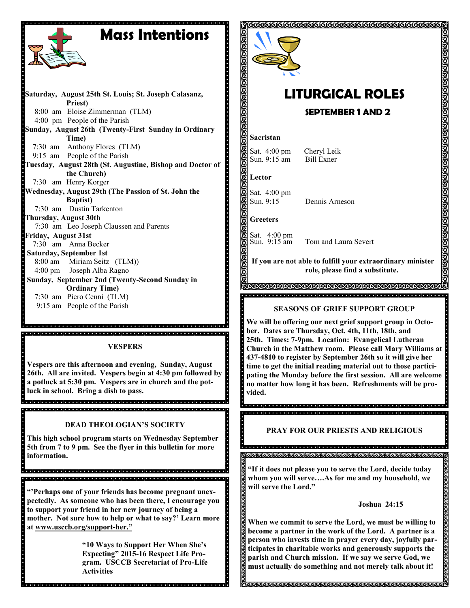# **Mass Intentions**

**Saturday, August 25th St. Louis; St. Joseph Calasanz, Priest)** 8:00 am Eloise Zimmerman (TLM) 4:00 pm People of the Parish **Sunday, August 26th (Twenty-First Sunday in Ordinary Time)** 7:30 am Anthony Flores (TLM) 9:15 am People of the Parish **Tuesday, August 28th (St. Augustine, Bishop and Doctor of the Church)** 7:30 am Henry Korger **Wednesday, August 29th (The Passion of St. John the Baptist)** 7:30 am Dustin Tarkenton **Thursday, August 30th**  7:30 am Leo Joseph Claussen and Parents **Friday, August 31st** 7:30 am Anna Becker **Saturday, September 1st** 8:00 am Miriam Seitz (TLM)) 4:00 pm Joseph Alba Ragno **Sunday, September 2nd (Twenty-Second Sunday in Ordinary Time)** 7:30 am Piero Cenni (TLM) 9:15 am People of the Parish

#### a di secondo della contra della contra della contra della contra della contra della contra della contra della <u>, alguna de la ciela de la ciela de la ciela de la ciela de la ciela de la ciela de la ciela de la ciela de l</u>

#### **VESPERS**

**Vespers are this afternoon and evening, Sunday, August 26th. All are invited. Vespers begin at 4:30 pm followed by a potluck at 5:30 pm. Vespers are in church and the potluck in school. Bring a dish to pass.**

ariaria da bida da bida da da da bida da bida da bida da da da da da da da da da da

#### **DEAD THEOLOGIAN'S SOCIETY**

**This high school program starts on Wednesday September 5th from 7 to 9 pm. See the flyer in this bulletin for more information.** 

**"'Perhaps one of your friends has become pregnant unexpectedly. As someone who has been there, I encourage you to support your friend in her new journey of being a mother. Not sure how to help or what to say?' Learn more at www.usccb.org/support-her."**

a dia kaominina mpikambana amin'ny kaominina mpikambana amin'ny fivondronan-kaominin'i A

**"10 Ways to Support Her When She's Expecting" 2015-16 Respect Life Program. USCCB Secretariat of Pro-Life Activities**



#### **Joshua 24:15**

**When we commit to serve the Lord, we must be willing to become a partner in the work of the Lord. A partner is a person who invests time in prayer every day, joyfully participates in charitable works and generously supports the parish and Church mission. If we say we serve God, we must actually do something and not merely talk about it!**